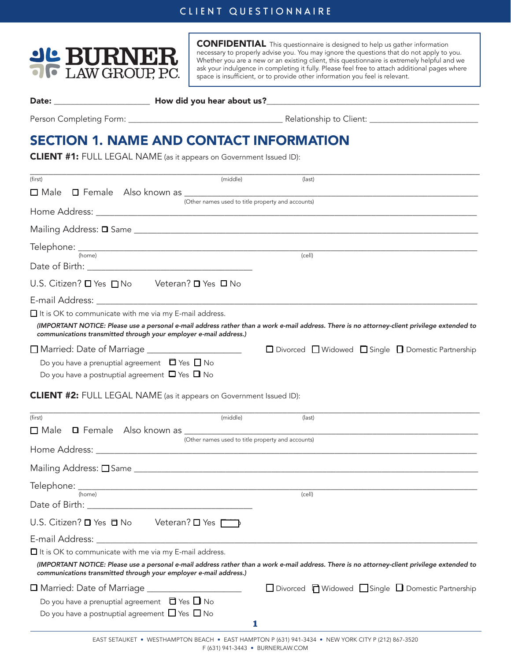## CLIENT QUESTIONNAIRE



CONFIDENTIAL This questionnaire is designed to help us gather information necessary to properly advise you. You may ignore the questions that do not apply to you. Whether you are a new or an existing client, this questionnaire is extremely helpful and we ask your indulgence in completing it fully. Please feel free to attach additional pages where space is insufficient, or to provide other information you feel is relevant.

Date: \_\_\_\_\_\_\_\_\_\_\_\_\_\_\_\_\_\_\_\_\_\_\_ How did you hear about us?\_\_\_\_\_\_\_\_\_\_\_\_\_\_\_\_\_\_\_\_\_\_\_\_\_\_\_\_\_\_\_\_\_\_\_\_\_\_\_\_\_\_\_\_\_\_\_\_\_\_\_

Person Completing Form: \_\_\_\_\_\_\_\_\_\_\_\_\_\_\_\_\_\_\_\_\_\_\_\_\_\_\_\_\_\_\_\_\_\_\_\_\_ Relationship to Client: \_\_\_\_\_\_\_\_\_\_\_\_\_\_\_\_\_\_\_\_\_\_\_\_\_\_

# SECTION 1. NAME AND CONTACT INFORMATION

CLIENT #1: FULL LEGAL NAME (as it appears on Government Issued ID):

| (first)                                                                                                                                                                                                                        | (middle)                                          | (last)                                                                                                                                       |
|--------------------------------------------------------------------------------------------------------------------------------------------------------------------------------------------------------------------------------|---------------------------------------------------|----------------------------------------------------------------------------------------------------------------------------------------------|
| $\square$ Male                                                                                                                                                                                                                 |                                                   |                                                                                                                                              |
|                                                                                                                                                                                                                                | (Other names used to title property and accounts) |                                                                                                                                              |
|                                                                                                                                                                                                                                |                                                   |                                                                                                                                              |
|                                                                                                                                                                                                                                |                                                   |                                                                                                                                              |
| $\begin{array}{cc}\n\text{Telephone:} & \text{[home]} \\ \hline\n\end{array}$                                                                                                                                                  |                                                   | (cell)                                                                                                                                       |
| Date of Birth: National Account of Birth: National Account of Birth: National Account of Account of Account of Account of Account of Account of Account of Account of Account of Account of Account of Account of Account of A |                                                   |                                                                                                                                              |
| U.S. Citizen? O Yes O No Veteran? O Yes O No                                                                                                                                                                                   |                                                   |                                                                                                                                              |
|                                                                                                                                                                                                                                |                                                   |                                                                                                                                              |
| $\Box$ It is OK to communicate with me via my E-mail address.                                                                                                                                                                  |                                                   |                                                                                                                                              |
| communications transmitted through your employer e-mail address.)                                                                                                                                                              |                                                   | (IMPORTANT NOTICE: Please use a personal e-mail address rather than a work e-mail address. There is no attorney-client privilege extended to |
|                                                                                                                                                                                                                                |                                                   | □ Divorced □ Widowed □ Single □ Domestic Partnership                                                                                         |
| Do you have a prenuptial agreement $\Box$ Yes $\Box$ No                                                                                                                                                                        |                                                   |                                                                                                                                              |
| Do you have a postnuptial agreement $\Box$ Yes $\Box$ No                                                                                                                                                                       |                                                   |                                                                                                                                              |
| <b>CLIENT #2:</b> FULL LEGAL NAME (as it appears on Government Issued ID):                                                                                                                                                     |                                                   |                                                                                                                                              |
|                                                                                                                                                                                                                                |                                                   |                                                                                                                                              |
| (first)                                                                                                                                                                                                                        | (middle)                                          | (last)                                                                                                                                       |
|                                                                                                                                                                                                                                | (Other names used to title property and accounts) |                                                                                                                                              |
|                                                                                                                                                                                                                                |                                                   |                                                                                                                                              |
|                                                                                                                                                                                                                                |                                                   |                                                                                                                                              |
|                                                                                                                                                                                                                                |                                                   |                                                                                                                                              |
| $\text{Telephone: } \frac{1}{(\text{home})}$                                                                                                                                                                                   |                                                   | (cell)                                                                                                                                       |
|                                                                                                                                                                                                                                |                                                   |                                                                                                                                              |
| U.S. Citizen? $\Box$ Yes $\Box$ No Veteran? $\Box$ Yes $\Box$                                                                                                                                                                  |                                                   |                                                                                                                                              |
|                                                                                                                                                                                                                                |                                                   |                                                                                                                                              |
| $\Box$ It is OK to communicate with me via my E-mail address.                                                                                                                                                                  |                                                   |                                                                                                                                              |
| communications transmitted through your employer e-mail address.)                                                                                                                                                              |                                                   | (IMPORTANT NOTICE: Please use a personal e-mail address rather than a work e-mail address. There is no attorney-client privilege extended to |
| □ Married: Date of Marriage                                                                                                                                                                                                    |                                                   | $\Box$ Divorced $\Box$ Widowed $\Box$ Single $\Box$ Domestic Partnership                                                                     |

**1**

Do you have a prenuptial agreement  $\Box$  Yes  $\Box$  No Do you have a postnuptial agreement  $\Box$  Yes  $\Box$  No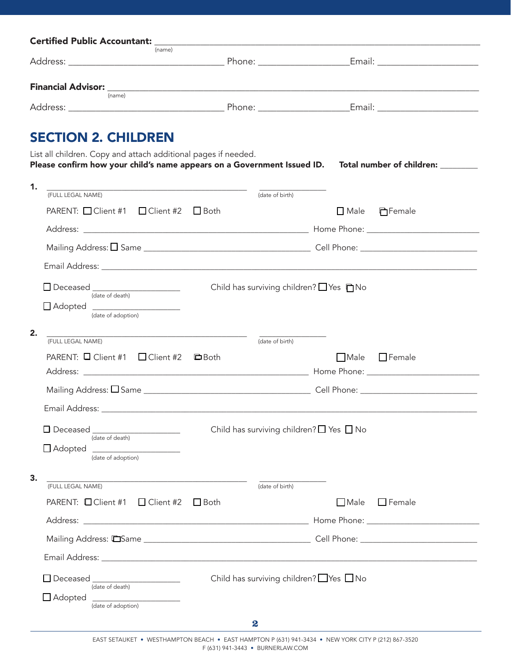| (name)                                                                                                     |               |                 |                                                    |               |
|------------------------------------------------------------------------------------------------------------|---------------|-----------------|----------------------------------------------------|---------------|
|                                                                                                            |               |                 |                                                    |               |
| (name)                                                                                                     |               |                 |                                                    |               |
|                                                                                                            |               |                 |                                                    |               |
| <b>SECTION 2. CHILDREN</b>                                                                                 |               |                 |                                                    |               |
| List all children. Copy and attach additional pages if needed.                                             |               |                 |                                                    |               |
| Please confirm how your child's name appears on a Government Issued ID. Total number of children: ________ |               |                 |                                                    |               |
| 1.<br>(FULL LEGAL NAME) (date of birth)                                                                    |               |                 |                                                    |               |
| PARENT: □ Client #1 □ Client #2 □ Both                                                                     |               |                 | $\square$ Male                                     | □Female       |
|                                                                                                            |               |                 |                                                    |               |
|                                                                                                            |               |                 |                                                    |               |
|                                                                                                            |               |                 |                                                    |               |
|                                                                                                            |               |                 |                                                    |               |
| Deceased<br>(date of death)                                                                                |               |                 | Child has surviving children? $\Box$ Yes $\Box$ No |               |
| Adopted _____________________<br>(date of adoption)                                                        |               |                 |                                                    |               |
|                                                                                                            |               |                 |                                                    |               |
| 2.<br>(FULL LEGAL NAME)                                                                                    |               | (date of birth) |                                                    |               |
| PARENT: Q Client #1 Q Client #2                                                                            | <b>口</b> Both |                 | <b>Male</b>                                        | $\Box$ Female |
|                                                                                                            |               |                 |                                                    |               |
| Mailing Address: □ Same                                                                                    |               |                 | Cell Phone:                                        |               |
| Email Address: Email Address:                                                                              |               |                 |                                                    |               |
| D Deceased                                                                                                 |               |                 | Child has surviving children? $\Box$ Yes $\Box$ No |               |
| (date of death)                                                                                            |               |                 |                                                    |               |
| $\Box$ Adopted<br>(date of adoption)                                                                       |               |                 |                                                    |               |

| З.                                                    | the contract of the contract of the contract of the contract of the contract of |                  |                                                    |               |
|-------------------------------------------------------|---------------------------------------------------------------------------------|------------------|----------------------------------------------------|---------------|
| (FULL LEGAL NAME)                                     |                                                                                 | (date of birth)  |                                                    |               |
| PARENT: $\Box$ Client #1 $\Box$ Client #2 $\Box$ Both |                                                                                 |                  | $\Box$ Male                                        | $\Box$ Female |
|                                                       |                                                                                 |                  |                                                    |               |
|                                                       |                                                                                 |                  |                                                    |               |
|                                                       |                                                                                 |                  |                                                    |               |
| $\Box$ Deceased<br>(date of death)                    |                                                                                 |                  | Child has surviving children? $\Box$ Yes $\Box$ No |               |
| $\Box$ Adopted<br>(date of adoption)                  |                                                                                 |                  |                                                    |               |
|                                                       |                                                                                 | $\boldsymbol{2}$ |                                                    |               |
|                                                       |                                                                                 |                  |                                                    |               |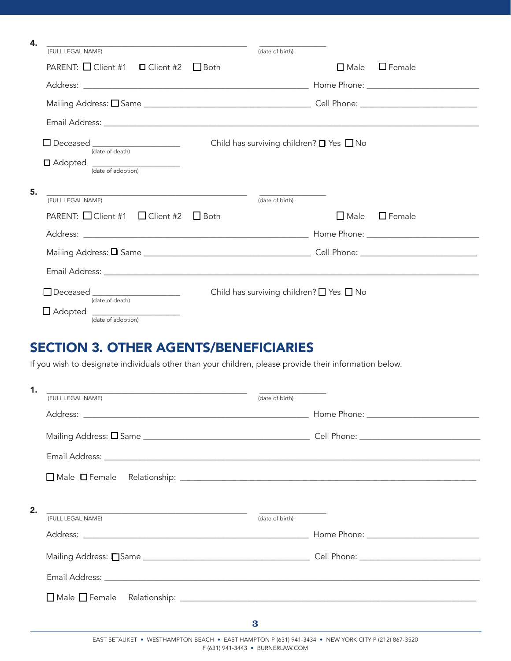| 4. | <u>and the contract of the contract of the contract of the contract of the contract of the contract of the contract of the contract of the contract of the contract of the contract of the contract of the contract of the contr</u>                                         |                                                    |                |                  |
|----|------------------------------------------------------------------------------------------------------------------------------------------------------------------------------------------------------------------------------------------------------------------------------|----------------------------------------------------|----------------|------------------|
|    | (FULL LEGAL NAME)                                                                                                                                                                                                                                                            | (date of birth)                                    |                |                  |
|    | PARENT: Client #1 □ Client #2 □ Both                                                                                                                                                                                                                                         |                                                    | $\square$ Male | $\square$ Female |
|    |                                                                                                                                                                                                                                                                              |                                                    |                |                  |
|    |                                                                                                                                                                                                                                                                              |                                                    |                |                  |
|    |                                                                                                                                                                                                                                                                              |                                                    |                |                  |
|    | □ Deceased _____________________<br>(date of death)                                                                                                                                                                                                                          | Child has surviving children? $\Box$ Yes $\Box$ No |                |                  |
|    | □ Adopted _____________________<br>(date of adoption)                                                                                                                                                                                                                        |                                                    |                |                  |
| 5. |                                                                                                                                                                                                                                                                              |                                                    |                |                  |
|    | (FULL LEGAL NAME)                                                                                                                                                                                                                                                            | (date of birth)                                    |                |                  |
|    | PARENT: $\Box$ Client #1 $\Box$ Client #2                                                                                                                                                                                                                                    | $\Box$ Both                                        | $\Box$ Male    | $\Box$ Female    |
|    |                                                                                                                                                                                                                                                                              |                                                    |                |                  |
|    |                                                                                                                                                                                                                                                                              |                                                    |                |                  |
|    |                                                                                                                                                                                                                                                                              |                                                    |                |                  |
|    | Deceased _____________________<br>(date of death)                                                                                                                                                                                                                            | Child has surviving children? $\Box$ Yes $\Box$ No |                |                  |
|    | $\Box$ Adopted<br><u> 1999 - Johann Harry Harry Harry Harry Harry Harry Harry Harry Harry Harry Harry Harry Harry Harry Harry Harry Harry Harry Harry Harry Harry Harry Harry Harry Harry Harry Harry Harry Harry Harry Harry Harry Harry Harry Ha</u><br>(date of adoption) |                                                    |                |                  |

## SECTION 3. OTHER AGENTS/BENEFICIARIES

If you wish to designate individuals other than your children, please provide their information below.

| 1. | <u> 2000 - Jan Barnett, fransk politik (d. 1888)</u>                                     |                 |  |
|----|------------------------------------------------------------------------------------------|-----------------|--|
|    | (FULL LEGAL NAME)                                                                        | (date of birth) |  |
|    |                                                                                          |                 |  |
|    |                                                                                          |                 |  |
|    |                                                                                          |                 |  |
|    |                                                                                          |                 |  |
| 2. | <u> 1989 - Johann Stein, mars an deus Amerikaansk kommunister (</u><br>(FULL LEGAL NAME) | (date of birth) |  |
|    |                                                                                          |                 |  |
|    |                                                                                          |                 |  |
|    |                                                                                          |                 |  |
|    |                                                                                          |                 |  |
|    |                                                                                          | 3               |  |
|    |                                                                                          |                 |  |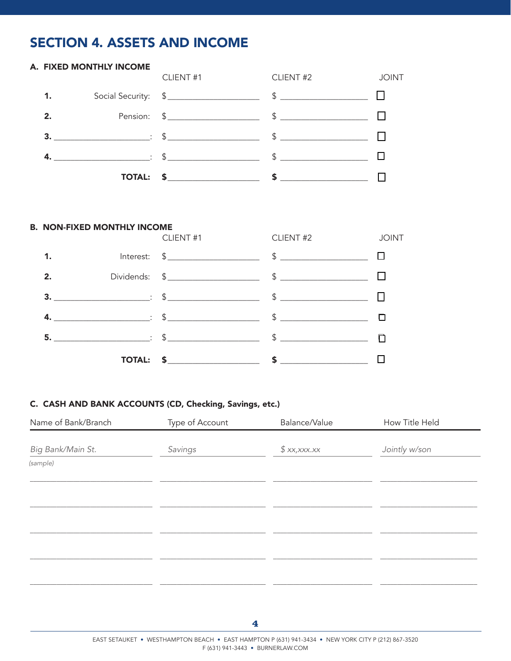## **SECTION 4. ASSETS AND INCOME**

#### CLIENT #2 CLIENT#1 **JOINT** Social Security: \$<br>
Social Security: \$<br>
1  $\sim$   $\sim$  $1.$  $\begin{tabular}{c} $ \small{ $ \mathbb{S} \hspace{-.07cm} \begin{tabular}{@{}}\quad \quad \quad & \quad \quad & \quad \quad \\ \mathbb{S} \hspace{-.07cm} \begin{tabular}{@{}}\quad \quad & \quad \quad \\ \mathbb{S} \hspace{-.07cm} \end{tabular} \end{tabular} } \end{tabular} \end{tabular} } \end{tabular}$ Pension: \$ \_\_\_\_\_\_\_\_\_\_\_\_\_\_\_\_\_\_  $2.$ 3.  $\qquad \qquad \qquad \qquad : \quad \text{\$} \qquad \qquad \qquad \text{\$} \qquad \qquad \text{\$} \qquad \qquad \Box$ 4.  $\qquad \qquad \qquad \qquad \qquad$   $\qquad \qquad$   $\qquad \qquad$   $\qquad \qquad$   $\qquad \qquad$   $\qquad \qquad$   $\qquad \qquad$   $\qquad \qquad$

#### **B. NON-FIXED MONTHLY INCOME**

A. FIXED MONTHLY INCOME

|             |  | CLIENT #1 CLIENT #2                                                                                                                                                                                                                                                                                                                                                                        | <b>JOINT</b> |
|-------------|--|--------------------------------------------------------------------------------------------------------------------------------------------------------------------------------------------------------------------------------------------------------------------------------------------------------------------------------------------------------------------------------------------|--------------|
| $\mathbf 1$ |  |                                                                                                                                                                                                                                                                                                                                                                                            |              |
| 2.          |  |                                                                                                                                                                                                                                                                                                                                                                                            |              |
|             |  |                                                                                                                                                                                                                                                                                                                                                                                            |              |
|             |  | <b>4.</b> $\qquad \qquad \qquad \qquad \qquad$ $\qquad \qquad$ $\qquad \qquad$ $\qquad \qquad$ $\qquad \qquad \qquad$ $\qquad \qquad$ $\qquad \qquad$ $\qquad \qquad$ $\qquad \qquad$ $\qquad \qquad$ $\qquad \qquad$ $\qquad \qquad$ $\qquad \qquad$ $\qquad$ $\qquad \qquad$ $\qquad$ $\qquad$ $\qquad$ $\qquad$ $\qquad$ $\qquad$ $\qquad$ $\qquad$ $\qquad$ $\qquad$ $\qquad$ $\qquad$ |              |
|             |  |                                                                                                                                                                                                                                                                                                                                                                                            |              |
|             |  |                                                                                                                                                                                                                                                                                                                                                                                            |              |

### C. CASH AND BANK ACCOUNTS (CD, Checking, Savings, etc.)

| Name of Bank/Branch | Type of Account | Balance/Value | How Title Held |
|---------------------|-----------------|---------------|----------------|
| Big Bank/Main St.   | Savings         | \$xx,xxx.x    | Jointly w/son  |
| (sample)            |                 |               |                |
|                     |                 |               |                |
|                     |                 |               |                |
|                     |                 |               |                |
|                     |                 |               |                |
|                     |                 |               |                |
|                     |                 |               |                |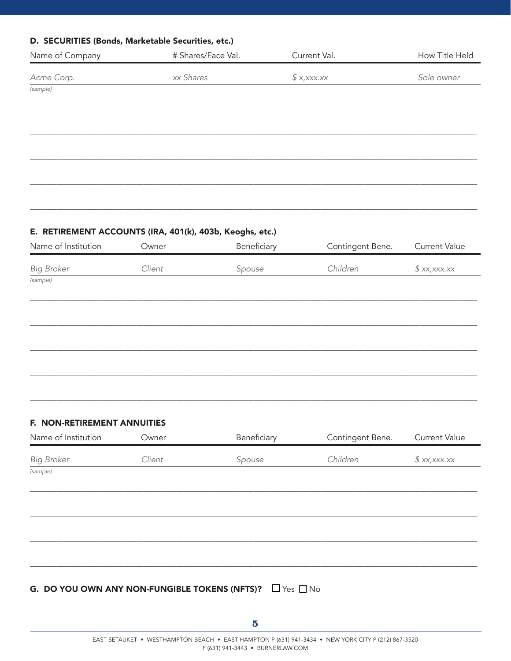### D. SECURITIES (Bonds, Marketable Securities, etc.)

| Name of Company                           | # Shares/Face Val. | Current Val.   | How Title Held |
|-------------------------------------------|--------------------|----------------|----------------|
| Acme Corp.                                | xx Shares          | $$$ x, xxx. xx | Sole owner     |
| $\overline{\left( \text{sample} \right)}$ |                    |                |                |
|                                           |                    |                |                |
|                                           |                    |                |                |
|                                           |                    |                |                |
|                                           |                    |                |                |
|                                           |                    |                |                |

### E. RETIREMENT ACCOUNTS (IRA, 401(k), 403b, Keoghs, etc.)

| Name of Institution | Owner  | Beneficiary | Contingent Bene. | <b>Current Value</b> |
|---------------------|--------|-------------|------------------|----------------------|
| <b>Big Broker</b>   | Client | Spouse      | Children         | \$xx,xxx.xx          |
| (sample)            |        |             |                  |                      |
|                     |        |             |                  |                      |
|                     |        |             |                  |                      |
|                     |        |             |                  |                      |
|                     |        |             |                  |                      |
|                     |        |             |                  |                      |
|                     |        |             |                  |                      |

### F. NON-RETIREMENT ANNUITIES

| Name of Institution | Owner  | Beneficiary                                                        | Contingent Bene. | Current Value |
|---------------------|--------|--------------------------------------------------------------------|------------------|---------------|
| <b>Big Broker</b>   | Client | Spouse                                                             | Children         | \$xx,xxx.xx   |
| (sample)            |        |                                                                    |                  |               |
|                     |        |                                                                    |                  |               |
|                     |        |                                                                    |                  |               |
|                     |        |                                                                    |                  |               |
|                     |        |                                                                    |                  |               |
|                     |        |                                                                    |                  |               |
|                     |        | G. DO YOU OWN ANY NON-FUNGIBLE TOKENS (NFTS)? $\Box$ Yes $\Box$ No |                  |               |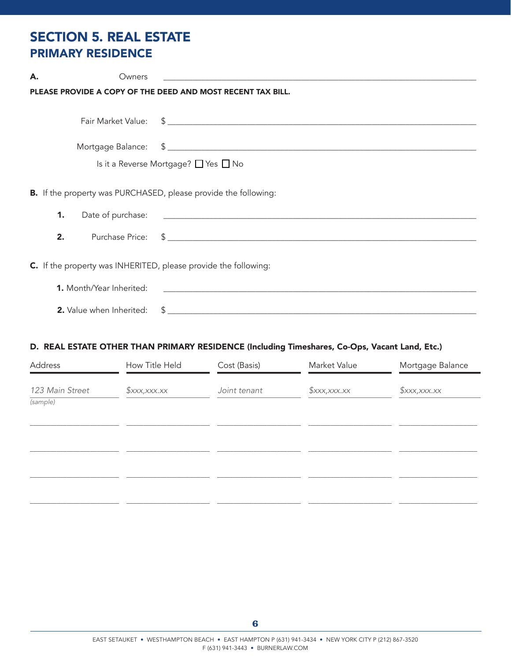## SECTION 5. REAL ESTATE PRIMARY RESIDENCE

| А. | Owners                                                          |                                                                                                                       |
|----|-----------------------------------------------------------------|-----------------------------------------------------------------------------------------------------------------------|
|    |                                                                 | PLEASE PROVIDE A COPY OF THE DEED AND MOST RECENT TAX BILL.                                                           |
|    |                                                                 |                                                                                                                       |
|    |                                                                 |                                                                                                                       |
|    |                                                                 |                                                                                                                       |
|    |                                                                 | Is it a Reverse Mortgage? $\Box$ Yes $\Box$ No                                                                        |
|    |                                                                 |                                                                                                                       |
|    |                                                                 | <b>B.</b> If the property was PURCHASED, please provide the following:                                                |
|    | 1.                                                              |                                                                                                                       |
|    | 2.                                                              |                                                                                                                       |
|    | C. If the property was INHERITED, please provide the following: |                                                                                                                       |
|    |                                                                 |                                                                                                                       |
|    | <b>1.</b> Month/Year Inherited:                                 | <u> 1989 - Johann John Stein, markin fan de Amerikaansk kommunent fan de Amerikaanske kommunent fan de Amerikaans</u> |
|    | <b>2.</b> Value when Inherited:                                 |                                                                                                                       |

## D. REAL ESTATE OTHER THAN PRIMARY RESIDENCE (Including Timeshares, Co-Ops, Vacant Land, Etc.)

| Address                     | How Title Held             | Cost (Basis) | Market Value               | Mortgage Balance           |
|-----------------------------|----------------------------|--------------|----------------------------|----------------------------|
| 123 Main Street<br>(sample) | $\frac{1}{2}$ xxx, xxx. xx | Joint tenant | $\frac{1}{2}$ xxx, xxx. xx | $\frac{1}{2}$ xxx, xxx. xx |
|                             |                            |              |                            |                            |
|                             |                            |              |                            |                            |
|                             |                            |              |                            |                            |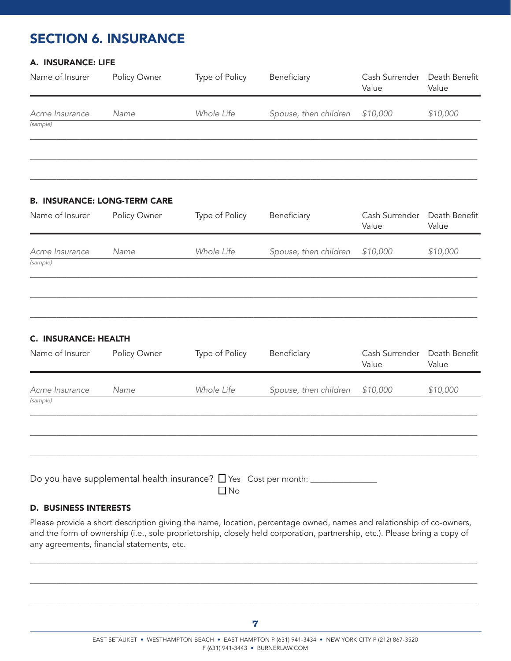# SECTION 6. INSURANCE

### A. INSURANCE: LIFE

| Name of Insurer            | Policy Owner                        | Type of Policy | Beneficiary           | Cash Surrender<br>Value | Death Benefit<br>Value |
|----------------------------|-------------------------------------|----------------|-----------------------|-------------------------|------------------------|
| Acme Insurance<br>(sample) | Name                                | Whole Life     | Spouse, then children | \$10,000                | \$10,000               |
|                            |                                     |                |                       |                         |                        |
|                            | <b>B. INSURANCE: LONG-TERM CARE</b> |                |                       |                         |                        |
| Name of Insurer            | Policy Owner                        | Type of Policy | Beneficiary           | Cash Surrender<br>Value | Death Benefit<br>Value |
| Acme Insurance<br>(sample) | Name                                | Whole Life     | Spouse, then children | \$10,000                | \$10,000               |

 $\Box \Box \Box \Box \Box \Box \Box \Box \Box$  . The set of the set of the set of the set of the set of the set of the set of the set of the set of the set of the set of the set of the set of the set of the set of the set of the set of the set of

 $\Box \Box \Box \Box \Box \Box \Box \Box \Box$  . The set of the set of the set of the set of the set of the set of the set of the set of the set of the set of the set of the set of the set of the set of the set of the set of the set of the set of

 $\Box \Box \Box \Box \Box \Box \Box \Box \Box$  . The set of the set of the set of the set of the set of the set of the set of the set of the set of the set of the set of the set of the set of the set of the set of the set of the set of the set of

#### C. INSURANCE: HEALTH

| Name of Insurer | Policy Owner | Type of Policy                                                               | Beneficiary           | Cash Surrender<br>Value | Death Benefit<br>Value |
|-----------------|--------------|------------------------------------------------------------------------------|-----------------------|-------------------------|------------------------|
| Acme Insurance  | Name         | Whole Life                                                                   | Spouse, then children | \$10,000                | \$10,000               |
| (sample)        |              |                                                                              |                       |                         |                        |
|                 |              |                                                                              |                       |                         |                        |
|                 |              |                                                                              |                       |                         |                        |
|                 |              | Do you have supplemental health insurance? $\Box$ Yes Cost per month: $\Box$ |                       |                         |                        |

D. BUSINESS INTERESTS

Please provide a short description giving the name, location, percentage owned, names and relationship of co-owners, and the form of ownership (i.e., sole proprietorship, closely held corporation, partnership, etc.). Please bring a copy of any agreements, financial statements, etc.

 $\Box \Box \Box \Box \Box \Box \Box \Box$  . The set of the set of the set of the set of the set of the set of the set of the set of the set of the set of the set of the set of the set of the set of the set of the set of the set of the set of th

 $\Box \Box \Box \Box \Box \Box \Box \Box$  . The set of the set of the set of the set of the set of the set of the set of the set of the set of the set of the set of the set of the set of the set of the set of the set of the set of the set of th

 $\Box \Box \Box \Box \Box \Box \Box \Box$  . The set of the set of the set of the set of the set of the set of the set of the set of the set of the set of the set of the set of the set of the set of the set of the set of the set of the set of th

 $\Box$  No